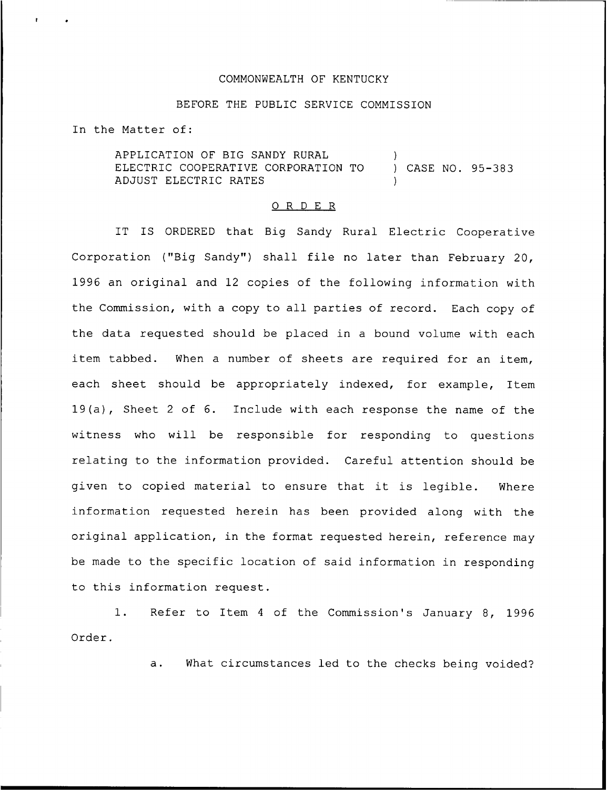## COMMONWEALTH OF KENTUCKY

## BEFORE THE PUBLIC SERVICE COMMISSION

In the Matter of:

APPLICATION OF BIG SANDY RURAL (a)<br>ELECTRIC COOPERATIVE CORPORATION TO (a) CASE NO. 95-383 ELECTRIC COOPERATIVE CORPORATION TO ADJUST ELECTRIC RATES )

## 0 <sup>R</sup> <sup>D</sup> E <sup>R</sup>

IT IS ORDERED that Big Sandy Rural Electric Cooperative Corporation ("Big Sandy") shall file no later than February 20, 1996 an original and 12 copies of the following information with the Commission, with <sup>a</sup> copy to all parties of record. Each copy of the data requested should be placed in a bound volume with each item tabbed. When a number of sheets are required for an item, each sheet should be appropriately indexed, for example, Item 19(a), Sheet <sup>2</sup> of 6. Include with each response the name of the witness who will be responsible for responding to questions relating to the information provided. Careful attention should be given to copied material to ensure that it is legible. Where information requested herein has been provided along with the original application, in the format requested herein, reference may be made to the specific location of said information in responding to this information request.

1. Refer to Item <sup>4</sup> of the Commission's January 8, 1996 Order.

a. What circumstances led to the checks being voided?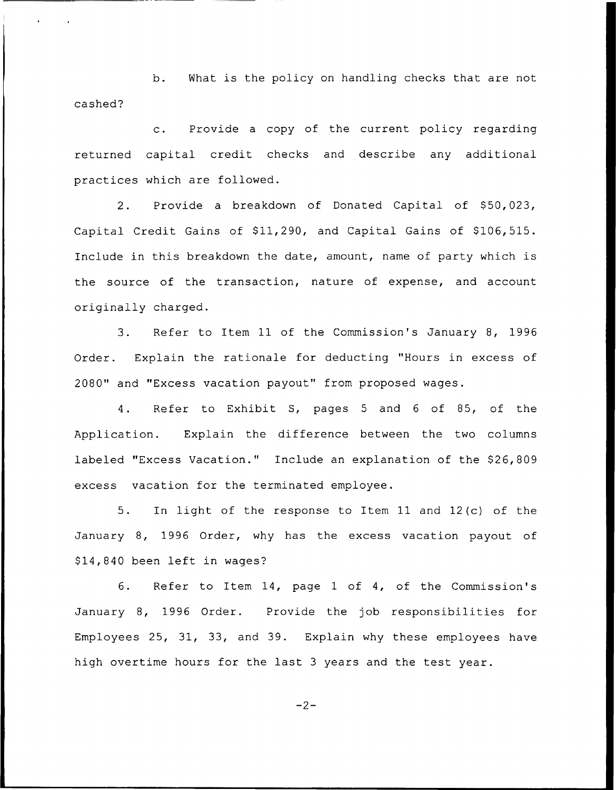b. What is the policy on handling checks that are not cashed?

c. Provide <sup>a</sup> copy of the current policy regarding returned capital credit checks and describe any additional practices which are followed.

2. Provide a breakdown of Donated Capital of \$50,023, Capital Credit Gains of \$11,290, and Capital Gains of \$106,515. Include in this breakdown the date, amount, name of party which is the source of the transaction, nature of expense, and account originally charged.

3. Refer to Item ll of the Commission's January 8, 1996 Order. Explain the rationale for deducting "Hours in excess of 2080" and "Excess vacation payout" from proposed wages.

4. Refer to Exhibit S, pages <sup>5</sup> and <sup>6</sup> of 85, of the Application. Explain the difference between the two columns labeled "Excess Vacation." Include an explanation of the \$26,809 excess vacation for the terminated employee.

5. In light of the response to Item 11 and 12(c) of the January 8, 1996 Order, why has the excess vacation payout of \$14,840 been left in wages?

6. Refer to Item 14, page 1 of 4, of the Commission's January 8, 1996 Order. Provide the job responsibilities for Employees 25, 31, 33, and 39. Explain why these employees have high overtime hours for the last <sup>3</sup> years and the test year.

$$
-2-
$$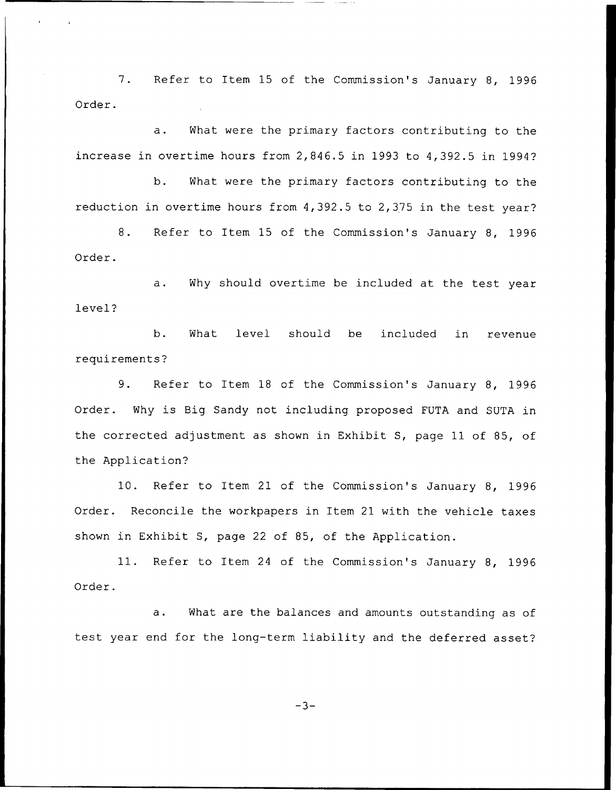7. Refer to Item 15 of the Commission's January 8, 1996 Order.

a. What were the primary factors contributing to the increase in overtime hours from 2,846.5 in 1993 to 4,392.5 in 1994?

b. What were the primary factors contributing to the reduction in overtime hours from 4,392.5 to 2,375 in the test year?

8. Refer to Item 15 of the Commission's January 8, 1996 Order.

a. Why should overtime be included at the test year level?

b. What level should be included in revenue requirements'?

9. Refer to Item 18 of the Commission's January 8, 1996 Order. Why is Big Sandy not including proposed FUTA and SUTA in the corrected adjustment as shown in Exhibit S, page 11 of 85, of the Application'

10. Refer to Item 21 of the Commission's January 8, 1996 Order. Reconcile the workpapers in Item 21 with the vehicle taxes shown in Exhibit S, page 22 of 85, of the Application.

11. Refer to Item <sup>24</sup> of the Commission's January 8, 1996 Order.

a. What are the balances and amounts outstanding as of test year end for the long-term liability and the deferred asset?

 $-3-$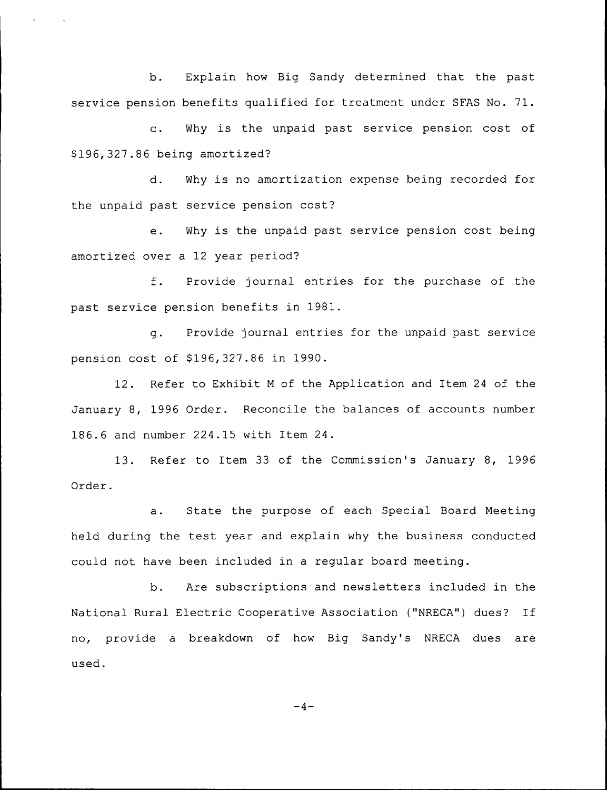b. Explain how Big Sandy determined that the past service pension benefits qualified for treatment under SFAS No. 71.

c. Why is the unpaid past service pension cost of \$ 196,327.86 being amortized'?

d. Why is no amortization expense being recorded for the unpaid past service pension cost'?

e. Why is the unpaid past service pension cost being amortized over a 12 year period?

f. Provide journal entries for the purchase of the past service pension benefits in 1981.

g. Provide journal entries for the unpaid past service pension cost of \$196,327.86 in 1990.

12. Refer to Exhibit <sup>M</sup> of the Application and Item 24 of the January 8, 1996 Order. Reconcile the balances of accounts number 186.6 and number 224.15 with Item 24.

13. Refer to Item 33 of the Commission's January 8, 1996 Order.

a. State the purpose of each Special Board Meeting held during the test year and explain why the business conducted could not have been included in a regular board meeting.

b. Are subscriptions and newsletters included in the National Rural Electric Cooperative Association ("NRECA") dues? If no, provide a breakdown of how Big Sandy's NRECA dues are used.

 $-4-$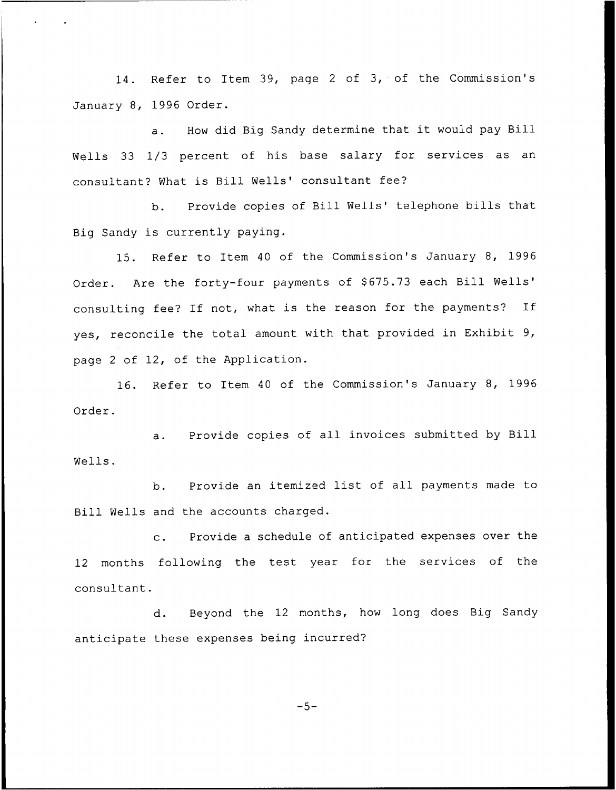14. Refer to Item 39, page <sup>2</sup> of 3, of the Commission's January 8, 1996 Order.

a. How did Big Sandy determine that it would pay Bill Wells 33 1/3 percent of his base salary for services as an consultant? What is Bill Wells' consultant fee?

b. Provide copies of Bill Wells' telephone bills that Big Sandy is currently paying.

15. Refer to Item 40 of the Commission's January 8, 1996 Order. Are the forty-four payments of \$675.73 each Bill Wells' fee? If not, what is the reason for the payments? If yes, reconcile the total amount with that provided in Exhibit 9, page <sup>2</sup> of 12, of the Application.

16. Refer to Item 40 of the Commission's January 8, 1996 Order.

a. Provide copies of all invoices submitted by Bill Wells.

b. Provide an itemized list of all payments made to Bill Wells and the accounts charged.

Provide a schedule of anticipated expenses over the  $\mathbf{c}$ . 12 months following the test year for the services of the consultant.

d. Beyond the 12 months, how long does Big Sandy anticipate these expenses being incurred?

 $-5-$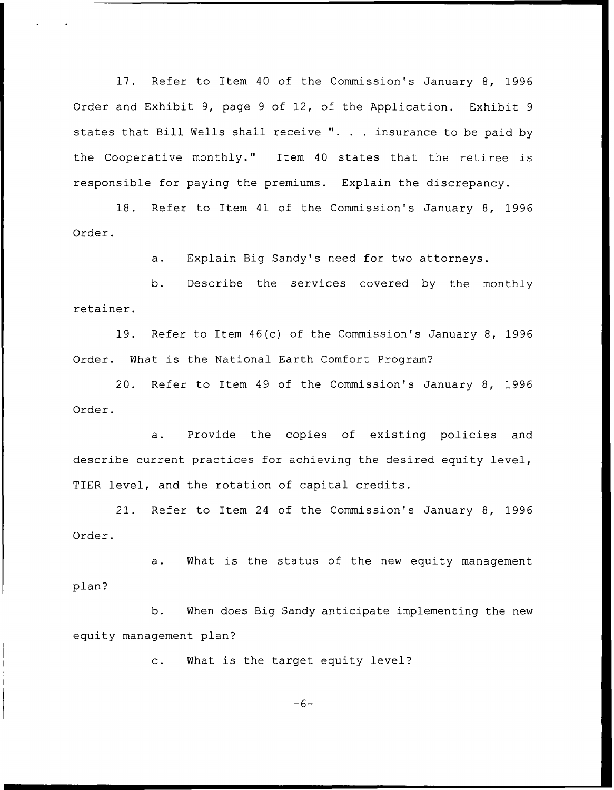17. Refer to Item <sup>40</sup> of the Commission's January 8, 1996 Order and Exhibit 9, page <sup>9</sup> of 12, of the Application. Exhibit <sup>9</sup> states that Bill Wells shall receive ". . . insurance to be paid by the Cooperative monthly." Item <sup>40</sup> states that the retiree is responsible for paying the premiums. Explain the discrepancy.

18. Refer to Item 41 of the Commission's January 8, 1996 Order.

a. Explain Big Sandy's need for two attorneys.

b. Describe the services covered by the monthly retainer.

19. Refer to Item 46(c) of the Commission's January 8, 1996 Order. What is the National Earth Comfort Program?

20. Refer to Item 49 of the Commission's January 8, 1996 Order.

Provide the copies of existing policies and a. describe current practices for achieving the desired equity level, TIER level, and the rotation of capital credits.

21. Refer to Item <sup>24</sup> of the Commission's January 8, 1996 Order.

a. What is the status of the new equity management plan?

b. When does Big Sandy anticipate implementing the new equity management plan?

c. What is the target equity level?

 $-6-$